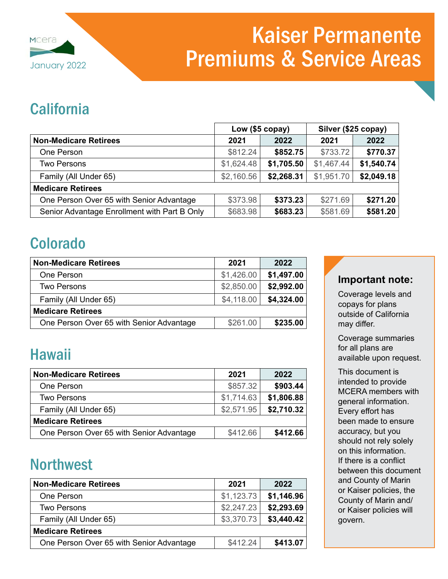

# Kaiser Permanente January 2022 **Premiums & Service Areas**

### **California**

|                                              | Low (\$5 copay) |            | Silver (\$25 copay) |            |
|----------------------------------------------|-----------------|------------|---------------------|------------|
| <b>Non-Medicare Retirees</b>                 | 2021            | 2022       | 2021                | 2022       |
| One Person                                   | \$812.24        | \$852.75   | \$733.72            | \$770.37   |
| Two Persons                                  | \$1,624.48      | \$1,705.50 | \$1,467.44          | \$1,540.74 |
| Family (All Under 65)                        | \$2,160.56      | \$2,268.31 | \$1,951.70          | \$2,049.18 |
| <b>Medicare Retirees</b>                     |                 |            |                     |            |
| One Person Over 65 with Senior Advantage     | \$373.98        | \$373.23   | \$271.69            | \$271.20   |
| Senior Advantage Enrollment with Part B Only | \$683.98        | \$683.23   | \$581.69            | \$581.20   |

### Colorado

| <b>Non-Medicare Retirees</b>             | 2021       | 2022       |
|------------------------------------------|------------|------------|
| One Person                               | \$1,426.00 | \$1,497.00 |
| <b>Two Persons</b>                       | \$2,850.00 | \$2,992.00 |
| Family (All Under 65)                    | \$4,118.00 | \$4,324.00 |
| <b>Medicare Retirees</b>                 |            |            |
| One Person Over 65 with Senior Advantage | \$261.00   | \$235.00   |

## Hawaii

| <b>Non-Medicare Retirees</b>             | 2021       | 2022       |
|------------------------------------------|------------|------------|
| One Person                               | \$857.32   | \$903.44   |
| Two Persons                              | \$1,714.63 | \$1,806.88 |
| Family (All Under 65)                    | \$2,571.95 | \$2,710.32 |
| <b>Medicare Retirees</b>                 |            |            |
| One Person Over 65 with Senior Advantage | \$412.66   | \$412.66   |

### **Northwest**

| <b>Non-Medicare Retirees</b>             | 2021       | 2022       |
|------------------------------------------|------------|------------|
| One Person                               | \$1,123.73 | \$1,146.96 |
| <b>Two Persons</b>                       | \$2,247.23 | \$2,293.69 |
| Family (All Under 65)                    | \$3,370.73 | \$3,440.42 |
| <b>Medicare Retirees</b>                 |            |            |
| One Person Over 65 with Senior Advantage | \$412.24   | \$413.07   |

### **Important note:**

Coverage levels and copays for plans outside of California may differ.

Coverage summaries for all plans are available upon request.

This document is intended to provide MCERA members with general information. Every effort has been made to ensure accuracy, but you should not rely solely on this information. If there is a conflict between this document and County of Marin or Kaiser policies, the County of Marin and/ or Kaiser policies will govern.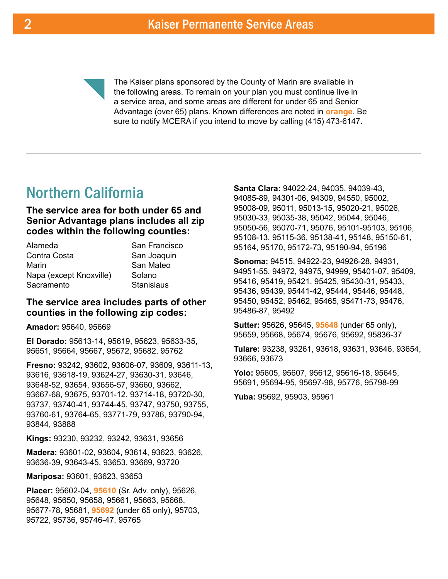

The Kaiser plans sponsored by the County of Marin are available in the following areas. To remain on your plan you must continue live in a service area, and some areas are different for under 65 and Senior Advantage (over 65) plans. Known differences are noted in **orange**. Be sure to notify MCERA if you intend to move by calling (415) 473-6147.

### Northern California

**The service area for both under 65 and Senior Advantage plans includes all zip codes within the following counties:** 

| Alameda                 | San Francisco     |
|-------------------------|-------------------|
| Contra Costa            | San Joaquin       |
| Marin                   | San Mateo         |
| Napa (except Knoxville) | Solano            |
| Sacramento              | <b>Stanislaus</b> |

#### **The service area includes parts of other counties in the following zip codes:**

**Amador:** 95640, 95669

**El Dorado:** 95613-14, 95619, 95623, 95633-35, 95651, 95664, 95667, 95672, 95682, 95762

**Fresno:** 93242, 93602, 93606-07, 93609, 93611-13, 93616, 93618-19, 93624-27, 93630-31, 93646, 93648-52, 93654, 93656-57, 93660, 93662, 93667-68, 93675, 93701-12, 93714-18, 93720-30, 93737, 93740-41, 93744-45, 93747, 93750, 93755, 93760-61, 93764-65, 93771-79, 93786, 93790-94, 93844, 93888

**Kings:** 93230, 93232, 93242, 93631, 93656

**Madera:** 93601-02, 93604, 93614, 93623, 93626, 93636-39, 93643-45, 93653, 93669, 93720

**Mariposa:** 93601, 93623, 93653

**Placer:** 95602-04, **95610** (Sr. Adv. only), 95626, 95648, 95650, 95658, 95661, 95663, 95668, 95677-78, 95681, **95692** (under 65 only), 95703, 95722, 95736, 95746-47, 95765

**Santa Clara:** 94022-24, 94035, 94039-43, 94085-89, 94301-06, 94309, 94550, 95002, 95008-09, 95011, 95013-15, 95020-21, 95026, 95030-33, 95035-38, 95042, 95044, 95046, 95050-56, 95070-71, 95076, 95101-95103, 95106, 95108-13, 95115-36, 95138-41, 95148, 95150-61, 95164, 95170, 95172-73, 95190-94, 95196

**Sonoma:** 94515, 94922-23, 94926-28, 94931, 94951-55, 94972, 94975, 94999, 95401-07, 95409, 95416, 95419, 95421, 95425, 95430-31, 95433, 95436, 95439, 95441-42, 95444, 95446, 95448, 95450, 95452, 95462, 95465, 95471-73, 95476, 95486-87, 95492

**Sutter:** 95626, 95645, **95648** (under 65 only), 95659, 95668, 95674, 95676, 95692, 95836-37

**Tulare:** 93238, 93261, 93618, 93631, 93646, 93654, 93666, 93673

**Yolo:** 95605, 95607, 95612, 95616-18, 95645, 95691, 95694-95, 95697-98, 95776, 95798-99

**Yuba:** 95692, 95903, 95961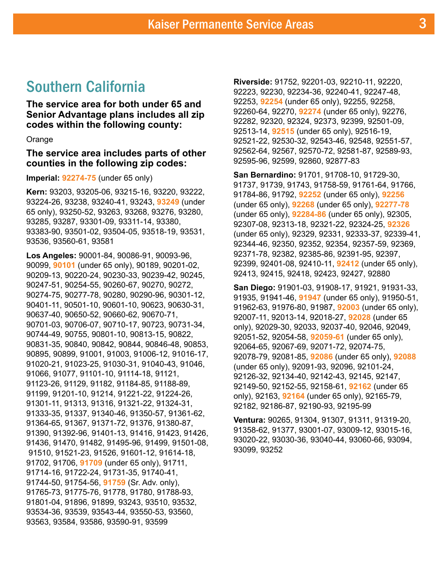### Southern California

**The service area for both under 65 and Senior Advantage plans includes all zip codes within the following county:** 

#### Orange

#### **The service area includes parts of other counties in the following zip codes:**

#### **Imperial: 92274-75** (under 65 only)

**Kern:** 93203, 93205-06, 93215-16, 93220, 93222, 93224-26, 93238, 93240-41, 93243, **93249** (under 65 only), 93250-52, 93263, 93268, 93276, 93280, 93285, 93287, 93301-09, 93311-14, 93380, 93383-90, 93501-02, 93504-05, 93518-19, 93531, 93536, 93560-61, 93581

**Los Angeles:** 90001-84, 90086-91, 90093-96, 90099, **90101** (under 65 only), 90189, 90201-02, 90209-13, 90220-24, 90230-33, 90239-42, 90245, 90247-51, 90254-55, 90260-67, 90270, 90272, 90274-75, 90277-78, 90280, 90290-96, 90301-12, 90401-11, 90501-10, 90601-10, 90623, 90630-31, 90637-40, 90650-52, 90660-62, 90670-71, 90701-03, 90706-07, 90710-17, 90723, 90731-34, 90744-49, 90755, 90801-10, 90813-15, 90822, 90831-35, 90840, 90842, 90844, 90846-48, 90853, 90895, 90899, 91001, 91003, 91006-12, 91016-17, 91020-21, 91023-25, 91030-31, 91040-43, 91046, 91066, 91077, 91101-10, 91114-18, 91121, 91123-26, 91129, 91182, 91184-85, 91188-89, 91199, 91201-10, 91214, 91221-22, 91224-26, 91301-11, 91313, 91316, 91321-22, 91324-31, 91333-35, 91337, 91340-46, 91350-57, 91361-62, 91364-65, 91367, 91371-72, 91376, 91380-87, 91390, 91392-96, 91401-13, 91416, 91423, 91426, 91436, 91470, 91482, 91495-96, 91499, 91501-08, 91510, 91521-23, 91526, 91601-12, 91614-18, 91702, 91706, **91709** (under 65 only), 91711, 91714-16, 91722-24, 91731-35, 91740-41, 91744-50, 91754-56, **91759** (Sr. Adv. only), 91765-73, 91775-76, 91778, 91780, 91788-93, 91801-04, 91896, 91899, 93243, 93510, 93532, 93534-36, 93539, 93543-44, 93550-53, 93560, 93563, 93584, 93586, 93590-91, 93599

**Riverside:** 91752, 92201-03, 92210-11, 92220, 92223, 92230, 92234-36, 92240-41, 92247-48, 92253, **92254** (under 65 only), 92255, 92258, 92260-64, 92270, **92274** (under 65 only), 92276, 92282, 92320, 92324, 92373, 92399, 92501-09, 92513-14, **92515** (under 65 only), 92516-19, 92521-22, 92530-32, 92543-46, 92548, 92551-57, 92562-64, 92567, 92570-72, 92581-87, 92589-93, 92595-96, 92599, 92860, 92877-83

**San Bernardino:** 91701, 91708-10, 91729-30, 91737, 91739, 91743, 91758-59, 91761-64, 91766, 91784-86, 91792, **92252** (under 65 only), **92256** (under 65 only), **92268** (under 65 only), **92277-78** (under 65 only), **92284-86** (under 65 only), 92305, 92307-08, 92313-18, 92321-22, 92324-25, **92326** (under 65 only), 92329, 92331, 92333-37, 92339-41, 92344-46, 92350, 92352, 92354, 92357-59, 92369, 92371-78, 92382, 92385-86, 92391-95, 92397, 92399, 92401-08, 92410-11, **92412** (under 65 only), 92413, 92415, 92418, 92423, 92427, 92880

**San Diego:** 91901-03, 91908-17, 91921, 91931-33, 91935, 91941-46, **91947** (under 65 only), 91950-51, 91962-63, 91976-80, 91987, **92003** (under 65 only), 92007-11, 92013-14, 92018-27, **92028** (under 65 only), 92029-30, 92033, 92037-40, 92046, 92049, 92051-52, 92054-58, **92059-61** (under 65 only), 92064-65, 92067-69, 92071-72, 92074-75, 92078-79, 92081-85, **92086** (under 65 only), **92088** (under 65 only), 92091-93, 92096, 92101-24, 92126-32, 92134-40, 92142-43, 92145, 92147, 92149-50, 92152-55, 92158-61, **92162** (under 65 only), 92163, **92164** (under 65 only), 92165-79, 92182, 92186-87, 92190-93, 92195-99

**Ventura:** 90265, 91304, 91307, 91311, 91319-20, 91358-62, 91377, 93001-07, 93009-12, 93015-16, 93020-22, 93030-36, 93040-44, 93060-66, 93094, 93099, 93252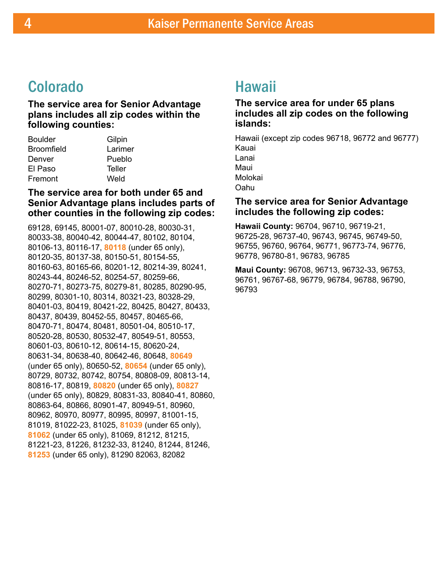### Colorado

**The service area for Senior Advantage plans includes all zip codes within the following counties:** 

| <b>Boulder</b>    | Gilpin  |
|-------------------|---------|
| <b>Broomfield</b> | Larimer |
| Denver            | Pueblo  |
| El Paso           | Teller  |
| Fremont           | Weld    |
|                   |         |

#### **The service area for both under 65 and Senior Advantage plans includes parts of other counties in the following zip codes:**

69128, 69145, 80001-07, 80010-28, 80030-31, 80033-38, 80040-42, 80044-47, 80102, 80104, 80106-13, 80116-17, **80118** (under 65 only), 80120-35, 80137-38, 80150-51, 80154-55, 80160-63, 80165-66, 80201-12, 80214-39, 80241, 80243-44, 80246-52, 80254-57, 80259-66, 80270-71, 80273-75, 80279-81, 80285, 80290-95, 80299, 80301-10, 80314, 80321-23, 80328-29, 80401-03, 80419, 80421-22, 80425, 80427, 80433, 80437, 80439, 80452-55, 80457, 80465-66, 80470-71, 80474, 80481, 80501-04, 80510-17, 80520-28, 80530, 80532-47, 80549-51, 80553, 80601-03, 80610-12, 80614-15, 80620-24, 80631-34, 80638-40, 80642-46, 80648, **80649** (under 65 only), 80650-52, **80654** (under 65 only), 80729, 80732, 80742, 80754, 80808-09, 80813-14, 80816-17, 80819, **80820** (under 65 only), **80827** (under 65 only), 80829, 80831-33, 80840-41, 80860, 80863-64, 80866, 80901-47, 80949-51, 80960, 80962, 80970, 80977, 80995, 80997, 81001-15, 81019, 81022-23, 81025, **81039** (under 65 only), **81062** (under 65 only), 81069, 81212, 81215, 81221-23, 81226, 81232-33, 81240, 81244, 81246, **81253** (under 65 only), 81290 82063, 82082

### Hawaii

#### **The service area for under 65 plans includes all zip codes on the following islands:**

Hawaii (except zip codes 96718, 96772 and 96777) Kauai Lanai Maui Molokai Oahu

#### **The service area for Senior Advantage includes the following zip codes:**

**Hawaii County:** 96704, 96710, 96719-21, 96725-28, 96737-40, 96743, 96745, 96749-50, 96755, 96760, 96764, 96771, 96773-74, 96776, 96778, 96780-81, 96783, 96785

**Maui County:** 96708, 96713, 96732-33, 96753, 96761, 96767-68, 96779, 96784, 96788, 96790, 96793